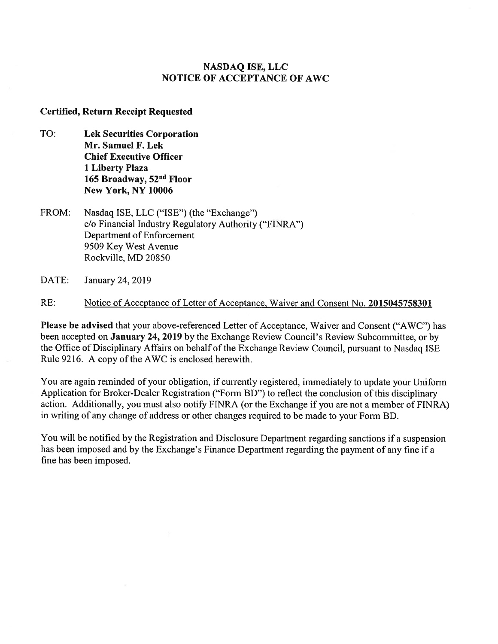# **NASDAQ ISE, LLC NOTICE OF ACCEPTANCE OF AWC**

## **Certified, Return Receipt Requested**

- TO: **Lek Securities Corporation Mr. Samuel F. Lek Chief Executive Officer 1 Liberty Plaza 165 Broadway, 52" Floor New York, NY 10006**
- FROM: Nasdaq ISE, LLC ("ISE") (the "Exchange") c/o Financial Industry Regulatory Authority ("FINRA") Department of Enforcement 9509 Key West Avenue Rockville, MD 20850
- DATE: January 24, 2019

RE: Notice of Acceptance of Letter of Acceptance, Waiver and Consent No. **2015045758301** 

**Please be advised** that your above-referenced Letter of Acceptance, Waiver and Consent ("AWC") has been accepted on **January 24, 2019** by the Exchange Review Council's Review Subcommittee, or by the Office of Disciplinary Affairs on behalf of the Exchange Review Council, pursuant to Nasdaq ISE Rule 9216. A copy of the AWC is enclosed herewith.

You are again reminded of your obligation, if currently registered, immediately to update your Uniform Application for Broker-Dealer Registration ("Form BD") to reflect the conclusion of this disciplinary action. Additionally, you must also notify FINRA (or the Exchange if you are not a member of FINRA) in writing of any change of address or other changes required to be made to your Form BD.

You will be notified by the Registration and Disclosure Department regarding sanctions if a suspension has been imposed and by the Exchange's Finance Department regarding the payment of any fine if a fine has been imposed.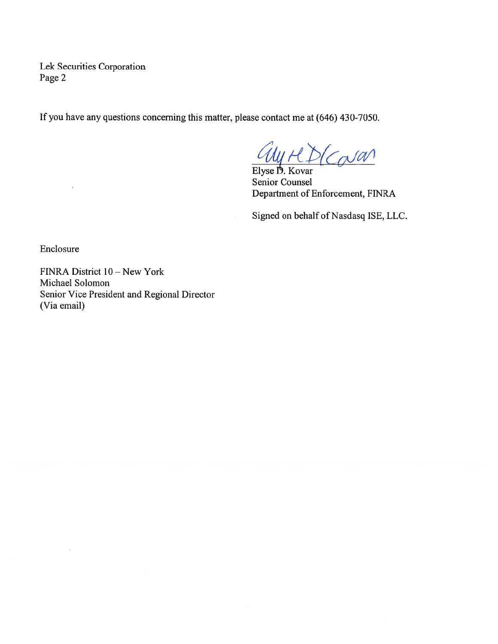Lek Securities Corporation Page 2

If you have any questions concerning this matter, please contact me at (646) 430-7050.

Elyse D. Kovar  $H D$ ( $Cov$ an)

Senior Counsel Department of Enforcement, FINRA

Signed on behalf of Nasdasq ISE, LLC.

Enclosure

FINRA District  $10 - New York$ Michael Solomon Senior Vice President and Regional Director (Via email)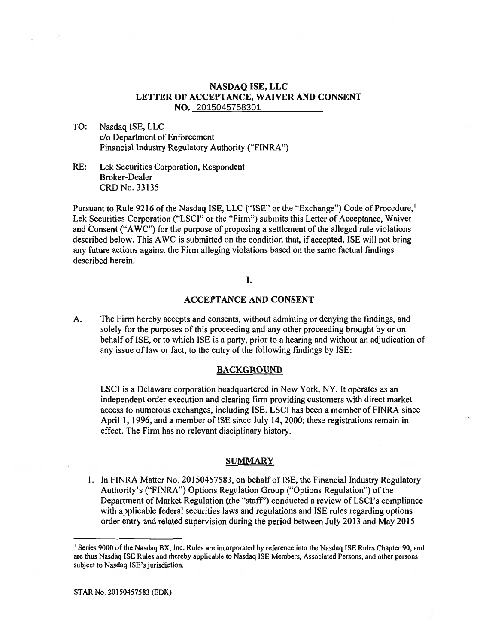## **NASDAQ ISE, LLC LETTER OF ACCEPTANCE, WAIVER AND CONSENT LETTER WAIVER AND CONSENT NO. 2015045758301**  2015045758301

TO: Nasdaq ISE, LLC **TO: Nasdaq ISE, LLC**  c/o Department of Enforcement **c/o Department of Enforcement**  Financial Industry Regulatory Authority ("FINRA")<br>RE: Lek Securities Corporation, Respondent

RE: Lek Securities Corporation, Respondent Broker-Dealer CRD No. 33135

Pursuant to Rule 9216 of the Nasdaq ISE, LLC ("ISE" or the "Exchange") Code of Procedure,<sup>1</sup> Lek Securities Corporation ("LSCI" or the "Firm") submits this Letter of Acceptance, Waiver and Consent ("AWC") for the purpose of proposing a settlement of the alleged rule violations described below. This AWC is submitted on the condition that, if accepted, ISE will not bring any future actions against the Firm alleging violations based on the same factual findings<br>described herein. described herein. Broker-Dealer<br>CRD No. 33135<br>Pursuant to Rule 9216 of the Nasdaq ISE, LLC ("ISE" or the "Exchange") Code of Procedure,<sup>1</sup><br>Lek Securities Corporation ("LSCI" or the "Firm") submits this Letter of Acceptance, Waiver<br>and Conse

# I. I.

## **ACCEPTANCE AND CONSENT**

A. The Firm hereby accepts and consents, without admitting or denying the findings, and A. The Firm hereby accepts and consents, without admitting or denying the findings, and solely for the purposes of this proceeding and any other proceeding brought by or on behalf of ISE, or to which ISE is a party, prior to a hearing and without an adjudication of any issue of law or fact, to the entry of the following findings by ISE:

#### **BACKGROUND**

LSCI is a Delaware corporation headquartered in New York, NY. It operates as an independent order execution and clearing firm providing customers with direct market access to numerous exchanges, including ISE. LSCI has been a member of FINRA since April 1, 1996, and a member of ISE since July 14, 2000; these registrations remain in effect. The Firm has no relevant disciplinary history. behalf of ISE, or to which ISE is a party, prior to a hearing and without an adjudication of<br>any issue of law or fact, to the entry of the following findings by ISE:<br>**BACKGROUND**<br>LSCI is a Delaware corporation headquartere

#### **SUMMARY**

1. In FINRA Matter No. 20150457583, on behalf of ISE, the Financial Industry Regulatory Authority's ("FINRA") Options Regulation Group ("Options Regulation") of the 1. In FINRA Matter No. 20150457583, on behalf of ISE, the Financial Industry Regulatory<br>Authority's ("FINRA") Options Regulation Group ("Options Regulation") of the<br>Department of Market Regulation (the "staff") conducted a with applicable federal securities laws and regulations and ISE rules regarding options with applicable federal securities laws and regulations and ISE rules regarding options<br>order entry and related supervision during the period between July 2013 and May 2015

<sup>&</sup>lt;sup>1</sup> Series 9000 of the Nasdaq BX, Inc. Rules are incorporated by reference into the Nasdaq ISE Rules Chapter 90, and<br>are thus Nasdaq ISE Rules and thereby applicable to Nasdaq ISE Members, Associated Persons, and other per are thus Nasdaq ISE Rules and thereby applicable to Nasdaq ISE Members, Associated Persons, and other persons subject to Nasdaq ISE's jurisdiction.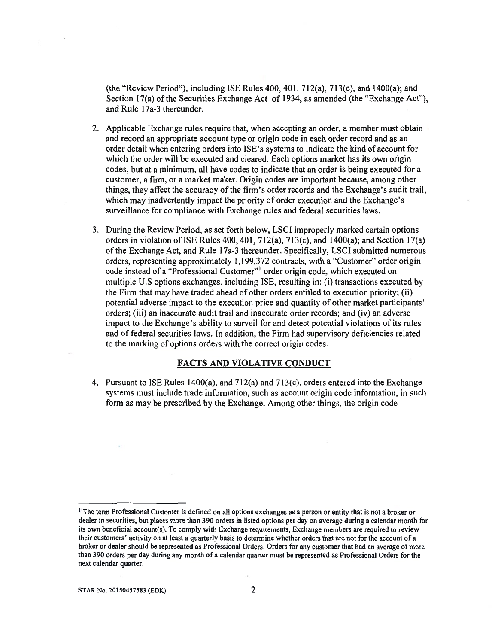(the "Review Period"), including ISE Rules 400, 401, 712(a), 713(c), and 1400(a); and Section 17(a) of the Securities Exchange Act of 1934, as amended (the "Exchange Act"), and Rule 17a-3 thereunder.

- 2. Applicable Exchange rules require that, when accepting an order, a member must obtain and record an appropriate account type or origin code in each order record and as an order detail when entering orders into ISE's systems to indicate the kind of account for which the order will be executed and cleared. Each options market has its own origin codes, but at a minimum, all have codes to indicate that an order is being executed for a customer, a firm, or a market maker. Origin codes are important because, among other things, they affect the accuracy of the firm's order records and the Exchange's audit trail, which may inadvertently impact the priority of order execution and the Exchange's surveillance for compliance with Exchange rules and federal securities laws.
- 3. During the Review Period, as set forth below, LSCI improperly marked certain options orders in violation of ISE Rules 400, 401, 712(a), 713(c), and 1400(a); and Section 17(a) of the Exchange Act, and Rule 17a-3 thereunder. Specifically, LSCI submitted numerous orders, representing approximately 1,199,372 contracts, with a "Customer" order origin code instead of a "Professional Customer"' order origin code, which executed on multiple U.S options exchanges, including ISE, resulting in: (i) transactions executed by the Firm that may have traded ahead of other orders entitled to execution priority; (ii) potential adverse impact to the execution price and quantity of other market participants' orders; (iii) an inaccurate audit trail and inaccurate order records; and (iv) an adverse impact to the Exchange's ability to surveil for and detect potential violations of its rules and of federal securities laws. In addition, the Firm had supervisory deficiencies related to the marking of options orders with the correct origin codes.

### **FACTS AND VIOLATIVE CONDUCT**

4. Pursuant to ISE Rules 1400(a), and 712(a) and 713(c), orders entered into the Exchange systems must include trade information, such as account origin code information, in such form as may be prescribed by the Exchange. Among other things, the origin code

<sup>&#</sup>x27; The term Professional Customer is defined on all options exchanges as a person or entity that is not a broker or dealer in securities, but places more than 390 orders in listed options per day on average during a calendar month for its own beneficial account(s). To comply with Exchange requirements, Exchange members are required to review their customers' activity on at least a quarterly basis to determine whether orders that are not for the account of a broker or dealer should be represented as Professional Orders. Orders for any customer that had an average of more than 390 orders per day during any month of a calendar quarter must be represented as Professional Orders for the next calendar quarter.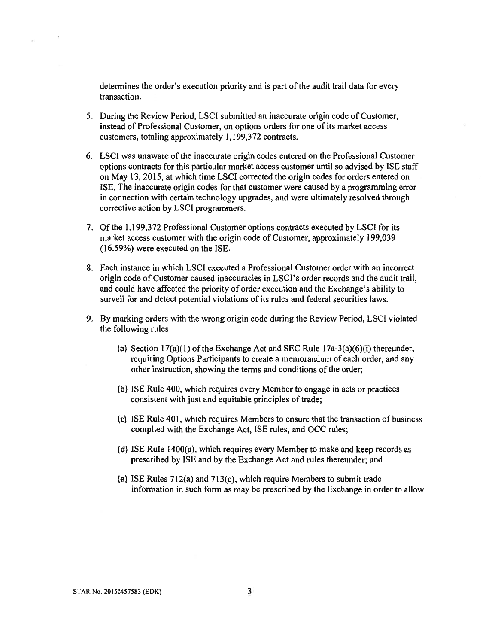determines the order's execution priority and is part of the audit trail data for every transaction.

- 5. During the Review Period, LSCI submitted an inaccurate origin code of Customer, instead of Professional Customer, on options orders for one of its market access customers, totaling approximately 1,199,372 contracts.
- 6. LSCI was unaware of the inaccurate origin codes entered on the Professional Customer options contracts for this particular market access customer until so advised by ISE staff on May 13, 2015, at which time LSCI corrected the origin codes for orders entered on ISE. The inaccurate origin codes for that customer were caused by a programming error in connection with certain technology upgrades, and were ultimately resolved through corrective action by LSCI programmers.
- 7. Of the 1,199,372 Professional Customer options contracts executed by LSCI for its market access customer with the origin code of Customer, approximately 199,039 (16.59%) were executed on the ISE.
- 8. Each instance in which LSCI executed a Professional Customer order with an incorrect origin code of Customer caused inaccuracies in LSCI's order records and the audit trail, and could have affected the priority of order execution and the Exchange's ability to surveil for and detect potential violations of its rules and federal securities laws.
- 9. By marking orders with the wrong origin code during the Review Period, LSCI violated the following rules:
	- (a) Section  $17(a)(1)$  of the Exchange Act and SEC Rule  $17a-3(a)(6)(i)$  thereunder, requiring Options Participants to create a memorandum of each order, and any other instruction, showing the terms and conditions of the order;
	- (b) ISE Rule 400, which requires every Member to engage in acts or practices consistent with just and equitable principles of trade;
	- (c) ISE Rule 401, which requires Members to ensure that the transaction of business complied with the Exchange Act, ISE rules, and OCC rules;
	- (d) ISE Rule 1400(a), which requires every Member to make and keep records as prescribed by ISE and by the Exchange Act and rules thereunder; and
	- (e) ISE Rules 712(a) and 713(c), which require Members to submit trade information in such form as may be prescribed by the Exchange in order to allow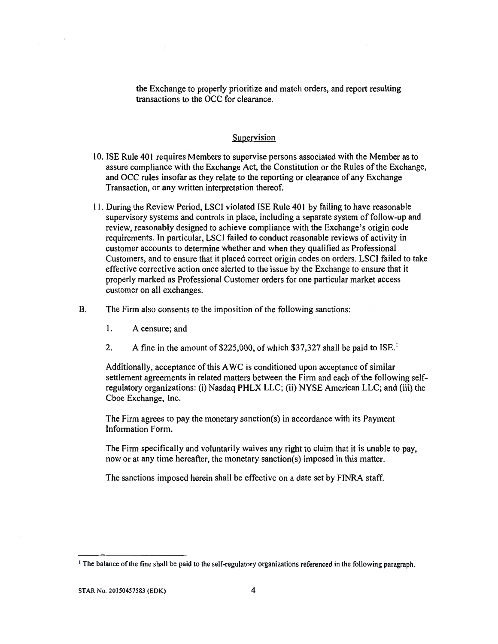the Exchange to properly prioritize and match orders, and report resulting transactions to the OCC for clearance.

#### Supervision

- 10. ISE Rule 401 requires Members to supervise persons associated with the Member as to assure compliance with the Exchange Act, the Constitution or the Rules of the Exchange, and OCC rules insofar as they relate to the reporting or clearance of any Exchange Transaction, or any written interpretation thereof.
- 11 During the Review Period, LSCI violated ISE Rule 401 by failing to have reasonable supervisory systems and controls in place, including a separate system of follow-up and review, reasonably designed to achieve compliance with the Exchange's origin code requirements. In particular, LSCI failed to conduct reasonable reviews of activity in customer accounts to determine whether and when they qualified as Professional Customers, and to ensure that it placed correct origin codes on orders. LSCI failed to take effective corrective action once alerted to the issue by the Exchange to ensure that it properly marked as Professional Customer orders for one particular market access customer on all exchanges.
- B. The Firm also consents to the imposition of the following sanctions:
	- 1. A censure; and
	- 2. A fine in the amount of \$225,000, of which \$37,327 shall be paid to ISE.<sup>1</sup>

Additionally, acceptance of this AWC is conditioned upon acceptance of similar settlement agreements in related matters between the Firm and each of the following selfregulatory organizations: (i) Nasdaq PHLX LLC; (ii) NYSE American LLC; and (iii) the Cboe Exchange, Inc.

The Firm agrees to pay the monetary sanction(s) in accordance with its Payment Information Form.

The Firm specifically and voluntarily waives any right to claim that it is unable to pay, now or at any time hereafter, the monetary sanction(s) imposed in this matter.

The sanctions imposed herein shall be effective on a date set by FINRA staff.

<sup>&</sup>lt;sup>1</sup> The balance of the fine shall be paid to the self-regulatory organizations referenced in the following paragraph.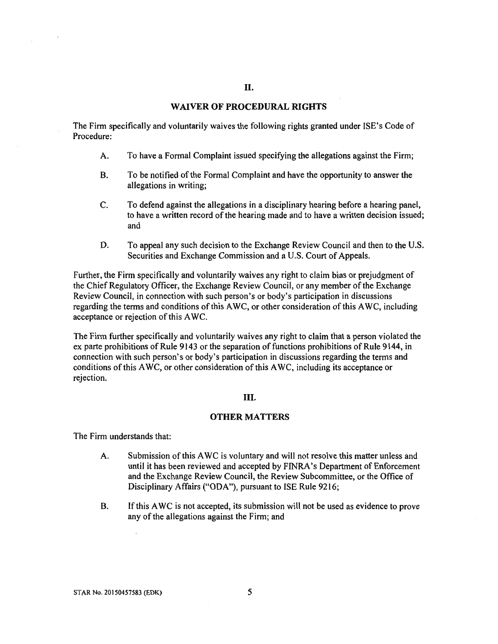#### **II.**

## **WAIVER OF PROCEDURAL RIGHTS**

The Firm specifically and voluntarily waives the following rights granted under ISE's Code of Procedure:

- A. To have a Formal Complaint issued specifying the allegations against the Firm;
- B. To be notified of the Formal Complaint and have the opportunity to answer the allegations in writing;
- C. To defend against the allegations in a disciplinary hearing before a hearing panel, to have a written record of the hearing made and to have a written decision issued; and
- D. To appeal any such decision to the Exchange Review Council and then to the U.S. Securities and Exchange Commission and a U.S. Court of Appeals.

Further, the Firm specifically and voluntarily waives any right to claim bias or prejudgment of the Chief Regulatory Officer, the Exchange Review Council, or any member of the Exchange Review Council, in connection with such person's or body's participation in discussions regarding the terms and conditions of this AWC, or other consideration of this AWC, including acceptance or rejection of this AWC.

The Firm further specifically and voluntarily waives any right to claim that a person violated the ex parte prohibitions of Rule 9143 or the separation of functions prohibitions of Rule 9144, in connection with such person's or body's participation in discussions regarding the terms and conditions of this AWC, or other consideration of this AWC, including its acceptance or rejection.

#### III.

## **OTHER MATTERS**

The Firm understands that:

- A. Submission of this AWC is voluntary and will not resolve this matter unless and until it has been reviewed and accepted by FINRA's Department of Enforcement and the Exchange Review Council, the Review Subcommittee, or the Office of Disciplinary Affairs ("ODA"), pursuant to ISE Rule 9216;
- B. If this AWC is not accepted, its submission will not be used as evidence to prove any of the allegations against the Firm; and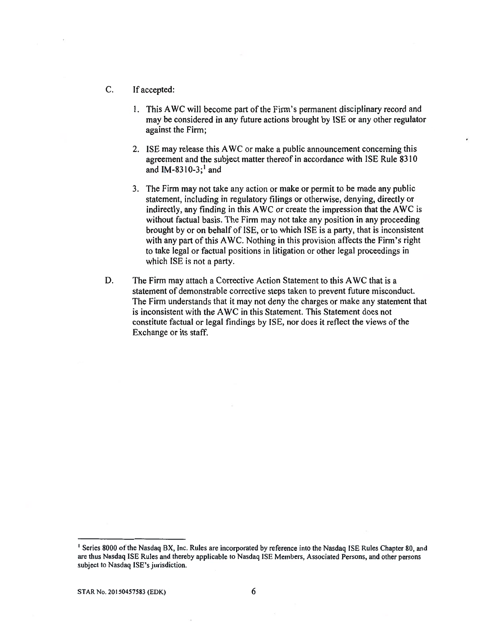- C. If accepted:
	- 1. This AWC will become part of the Firm's permanent disciplinary record and may be considered in any future actions brought by ISE or any other regulator against the Firm;
	- 2. ISE may release this AWC or make a public announcement concerning this agreement and the subject matter thereof in accordance with ISE Rule 8310 and IM-8310-3; $<sup>1</sup>$  and</sup>
	- 3. The Firm may not take any action or make or permit to be made any public statement, including in regulatory filings or otherwise, denying, directly or indirectly, any finding in this AWC or create the impression that the AWC is without factual basis. The Firm may not take any position in any proceeding brought by or on behalf of ISE, or to which ISE is a party, that is inconsistent with any part of this AWC. Nothing in this provision affects the Firm's right to take legal or factual positions in litigation or other legal proceedings in which ISE is not a party.
- D. The Firm may attach a Corrective Action Statement to this AWC that is a statement of demonstrable corrective steps taken to prevent future misconduct. The Firm understands that it may not deny the charges or make any statement that is inconsistent with the AWC in this Statement. This Statement does not constitute factual or legal findings by ISE, nor does it reflect the views of the Exchange or its staff.

<sup>&#</sup>x27; Series 8000 of the Nasdaq BX, Inc. Rules are incorporated by reference into the Nasdaq ISE Rules Chapter 80, and are thus Nasdaq ISE Rules and thereby applicable to Nasdaq ISE Members, Associated Persons, and other persons subject to Nasdaq ISE's jurisdiction.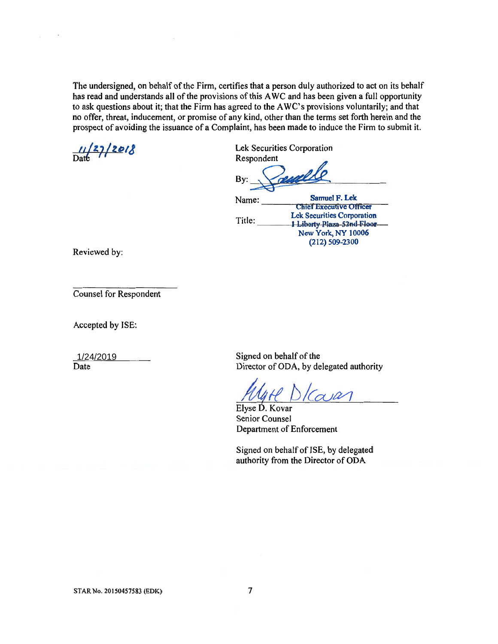The undersigned, on behalf of the Firm, certifies that a person duly authorized to act on its behalf<br>has read and understands all of the provisions of this AWC and has been given a full opportunity<br>to ask questions about has read and understands all of the provisions of this AWC and has been given a full opportunity to ask questions about it; that the Firm has agreed to the AWC's provisions voluntarily; and that no offer, threat, inducement, or promise of any kind, other than the terms set forth herein and the prospect of avoiding the issuance of a Complaint, has been made to induce the Firm to submit it.

 $\frac{11}{27}/20$ prospect or avoid:<br>11/27/2018

Lek Securities Corporation Respondent

By: By:

Name: Title: **Samuel F. Lek Chief Executive Officer Lek Securities Corporation 1 Liborty Plaza-52nd Floor New York, NY 10006 (212) 509-2300 Executive Officer<br>
Lek Securities Corporation<br>
1 Liborty Plaza-52nd Floor<br>
New York, NY 10006** 

Reviewed by:

Counsel for Respondent

Accepted by ISE:

1/24/2019 Signed on behalf of the<br>Date Director of ODA, by de Director of ODA, by delegated authority

 $1$ (a) $21$  $\frac{1/24/2019}{\text{Date}}$ <br>Signed on behalf of the<br>Director of ODA, by delegated author<br>Elyse D. Kovar<br>Senior Counsel<br>Department of Enforcement<br>Signed on behalf of ISE, by delegate<br>authority from the Director of ODA

Elyse D. Kovar Senior Counsel Department of Enforcement

Signed on behalf of ISE, by delegated authority from the Director of ODA